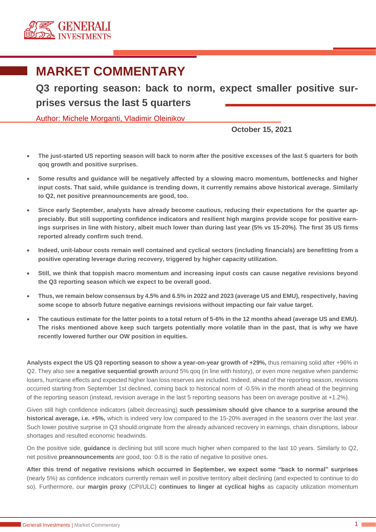

# **MARKET COMMENTARY**

**Q3 reporting season: back to norm, expect smaller positive surprises versus the last 5 quarters**

Author: Michele Morganti, Vladimir Oleinikov

**October 15, 2021**

- **The just-started US reporting season will back to norm after the positive excesses of the last 5 quarters for both qoq growth and positive surprises.**
- **Some results and guidance will be negatively affected by a slowing macro momentum, bottlenecks and higher input costs. That said, while guidance is trending down, it currently remains above historical average. Similarly to Q2, net positive preannouncements are good, too.**
- **Since early September, analysts have already become cautious, reducing their expectations for the quarter appreciably. But still supporting confidence indicators and resilient high margins provide scope for positive earnings surprises in line with history, albeit much lower than during last year (5% vs 15-20%). The first 35 US firms reported already confirm such trend.**
- **Indeed, unit-labour costs remain well contained and cyclical sectors (including financials) are benefitting from a positive operating leverage during recovery, triggered by higher capacity utilization.**
- **Still, we think that toppish macro momentum and increasing input costs can cause negative revisions beyond the Q3 reporting season which we expect to be overall good.**
- **Thus, we remain below consensus by 4.5% and 6.5% in 2022 and 2023 (average US and EMU), respectively, having some scope to absorb future negative earnings revisions without impacting our fair value target.**
- **The cautious estimate for the latter points to a total return of 5-6% in the 12 months ahead (average US and EMU). The risks mentioned above keep such targets potentially more volatile than in the past, that is why we have recently lowered further our OW position in equities.**

**Analysts expect the US Q3 reporting season to show a year-on-year growth of +29%,** thus remaining solid after +96% in Q2. They also see **a negative sequential growth** around 5% qoq (in line with history), or even more negative when pandemic losers, hurricane effects and expected higher loan loss reserves are included. Indeed, ahead of the reporting season, revisions occurred starting from September 1st declined, coming back to historical norm of -0.5% in the month ahead of the beginning of the reporting season (instead, revision average in the last 5 reporting seasons has been on average positive at +1.2%).

Given still high confidence indicators (albeit decreasing) **such pessimism should give chance to a surprise around the historical average, i.e. +5%,** which is indeed very low compared to the 15-20% averaged in the seasons over the last year. Such lower positive surprise in Q3 should originate from the already advanced recovery in earnings, chain disruptions, labour shortages and resulted economic headwinds.

On the positive side, **guidance** is declining but still score much higher when compared to the last 10 years. Similarly to Q2, net positive **preannouncements** are good, too: 0.8 is the ratio of negative to positive ones.

**After this trend of negative revisions which occurred in September, we expect some "back to normal" surprises** (nearly 5%) as confidence indicators currently remain well in positive territory albeit declining (and expected to continue to do so). Furthermore, our **margin proxy** (CPI/ULC) **continues to linger at cyclical highs** as capacity utilization momentum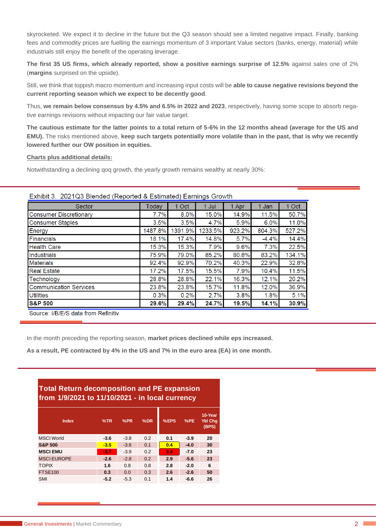skyrocketed. We expect it to decline in the future but the Q3 season should see a limited negative impact. Finally, banking fees and commodity prices are fuelling the earnings momentum of 3 important Value sectors (banks, energy, material) while industrials still enjoy the benefit of the operating leverage.

**The first 35 US firms, which already reported, show a positive earnings surprise of 12.5%** against sales one of 2% (**margins** surprised on the upside).

Still, we think that toppish macro momentum and increasing input costs will be **able to cause negative revisions beyond the current reporting season which we expect to be decently good**.

Thus, **we remain below consensus by 4.5% and 6.5% in 2022 and 2023**, respectively, having some scope to absorb negative earnings revisions without impacting our fair value target.

**The cautious estimate for the latter points to a total return of 5-6% in the 12 months ahead (average for the US and EMU).** The risks mentioned above, **keep such targets potentially more volatile than in the past, that is why we recently lowered further our OW position in equities.**

### **Charts plus additional details:**

Notwithstanding a declining qoq growth, the yearly growth remains wealthy at nearly 30%:

| LATING 3. ZUZTQ0 DIGITUGU (INGPORGU & LSUIHAGU) LATINGO OTOWIT |          |         |         |         |         |        |
|----------------------------------------------------------------|----------|---------|---------|---------|---------|--------|
| Sector                                                         | Today    | 1 Oct   | 1 Jul   | 1 Apr   | Jan     | 1 Oct  |
| <b>Consumer Discretionary</b>                                  | 7.7%     | 8.0%    | 15.0%   | 14.9%   | 11.5%   | 50.7%  |
| <b>Consumer Staples</b>                                        | 3.5%     | 3.5%    | 4.7%    | 5.9%    | 6.0%    | 11.0%  |
| Energy                                                         | 1487.8%  | 1391.9% | 1233.5% | 923.2%  | 804.3%  | 527.2% |
| Financials                                                     | 18.1%    | 17.4%   | 14.8%   | 5.7%    | $-4.4%$ | 14.4%  |
| <b>Health Care</b>                                             | 15.3%    | 15.3%   | 7.9%    | 9.6%    | 7.3%    | 22.5%  |
| Industrials                                                    | 75.9%    | 79.0%   | 85.2%   | 80.8%   | 83.2%   | 134.1% |
| <b>Materials</b>                                               | 92.4%    | 92.9%   | 70.2%   | 40.3%   | 22.9%   | 32.8%  |
| <b>Real Estate</b>                                             | $17.2\%$ | 17.5%   | 15.5%   | $7.9\%$ | 10.4%   | 11.5%  |
| Technology                                                     | 28.8%    | 28.8%   | 22.1%   | 16.3%   | 12.1%   | 20.2%  |
| <b>Communication Services</b>                                  | 23.8%    | 23.8%   | 15.7%   | 11.8%   | 12.0%   | 36.9%  |
| <b>Utilities</b>                                               | 0.3%     | 0.2%    | 2.7%    | 3.8%    | 1.8%    | 5.1%   |
| <b>S&amp;P 500</b>                                             | 29.6%    | 29.4%   | 24.7%   | 19.5%   | 14.1%   | 30.9%  |
|                                                                |          |         |         |         |         |        |

## Exhibit 3 2021Q3 Blended (Reported & Estimated) Earnings Growth

Source: I/B/E/S data from Refinitiv

In the month preceding the reporting season, **market prices declined while eps increased.**

**As a result, PE contracted by 4% in the US and 7% in the euro area (EA) in one month.** 

# **Total Return decomposition and PE expansion from 1/9/2021 to 11/10/2021 - in local currency**

| <b>Index</b>       | %TR    | %PR    | %DR | %EPS | %PE    | 10-Year<br><b>Yld Chg</b><br>(BPS) |
|--------------------|--------|--------|-----|------|--------|------------------------------------|
| <b>MSCI World</b>  | $-3.6$ | $-3.8$ | 0.2 | 0.1  | $-3.9$ | 20                                 |
| <b>S&amp;P 500</b> | $-3.5$ | $-3.6$ | 0.1 | 0.4  | $-4.0$ | 30                                 |
| <b>MSCI EMU</b>    | $-3.7$ | $-3.9$ | 0.2 | 3.4  | $-7.0$ | 23                                 |
| <b>MSCI EUROPE</b> | $-2.6$ | $-2.8$ | 0.2 | 2.9  | $-5.6$ | 23                                 |
| <b>TOPIX</b>       | 1.6    | 0.8    | 0.8 | 2.8  | $-2.0$ | 6                                  |
| <b>FTSE100</b>     | 0.3    | 0.0    | 0.3 | 2.6  | $-2.6$ | 50                                 |
| <b>SMI</b>         | $-5.2$ | $-5.3$ | 0.1 | 1.4  | $-6.6$ | 26                                 |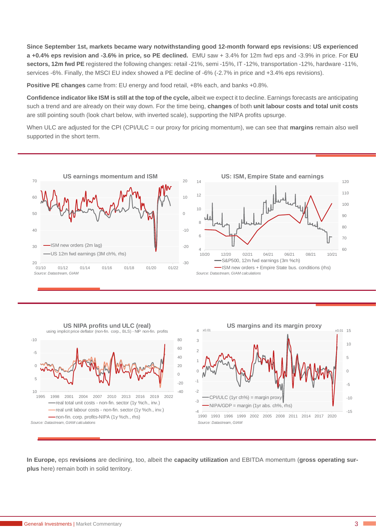**Since September 1st, markets became wary notwithstanding good 12-month forward eps revisions: US experienced a +0.4% eps revision and -3.6% in price, so PE declined.** EMU saw + 3.4% for 12m fwd eps and -3.9% in price. For **EU sectors, 12m fwd PE** registered the following changes: retail -21%, semi -15%, IT -12%, transportation -12%, hardware -11%, services -6%. Finally, the MSCI EU index showed a PE decline of -6% (-2.7% in price and +3.4% eps revisions).

**Positive PE changes** came from: EU energy and food retail,  $+8\%$  each, and banks  $+0.8\%$ .

**Confidence indicator like ISM is still at the top of the cycle,** albeit we expect it to decline. Earnings forecasts are anticipating such a trend and are already on their way down. For the time being, **changes** of both **unit labour costs and total unit costs**  are still pointing south (look chart below, with inverted scale), supporting the NIPA profits upsurge.

When ULC are adjusted for the CPI (CPI/ULC = our proxy for pricing momentum), we can see that **margins** remain also well supported in the short term.





**In Europe,** eps **revisions** are declining, too, albeit the **capacity utilization** and EBITDA momentum (**gross operating surplus** here) remain both in solid territory.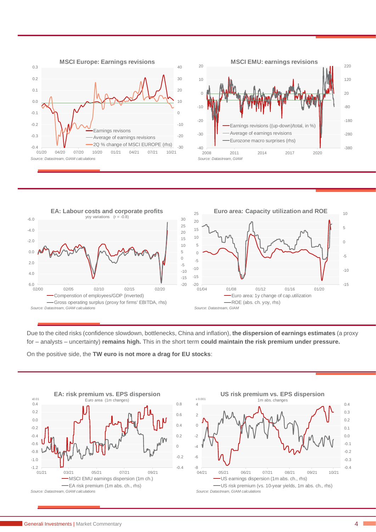





Due to the cited risks (confidence slowdown, bottlenecks, China and inflation), **the dispersion of earnings estimates** (a proxy for – analysts – uncertainty) **remains high.** This in the short term **could maintain the risk premium under pressure.**

On the positive side, the **TW euro is not more a drag for EU stocks**:



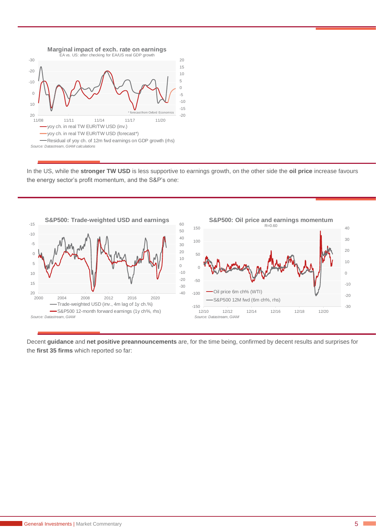

In the US, while the **stronger TW USD** is less supportive to earnings growth, on the other side the **oil price** increase favours the energy sector's profit momentum, and the S&P's one:



Decent **guidance** and **net positive preannouncements** are, for the time being, confirmed by decent results and surprises for the **first 35 firms** which reported so far: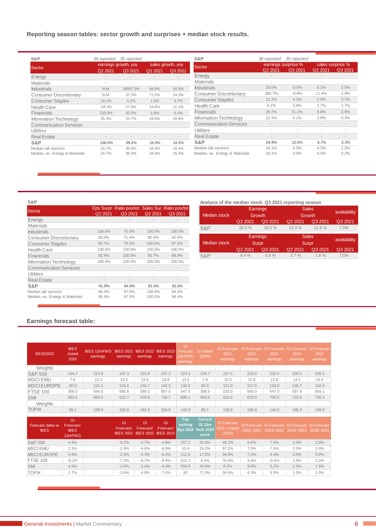# **Reporting season tables: sector growth and surprises + median stock results.**

| S&P                            | 38 reported | 35 reported                     |       |                              |
|--------------------------------|-------------|---------------------------------|-------|------------------------------|
| Sector                         | Q2 2021     | earnings growth, yoy<br>Q3 2021 |       | sales growth, yoy<br>Q3 2021 |
| Energy                         |             |                                 |       |                              |
| <b>Materials</b>               |             |                                 |       |                              |
| Industrials                    | N.M.        | 28057.3%                        | 48.9% | 34.5%                        |
| <b>Consumer Discretionary</b>  | N.M.        | 37.3%                           | 71.0% | 24.3%                        |
| <b>Consumer Staples</b>        | 14.1%       | 5.2%                            | 1.5%  | 9.7%                         |
| <b>Health Care</b>             | $-34.3%$    | 27.8%                           | 14.8% | 11.1%                        |
| Financials                     | 220.9%      | 42.0%                           | 1.9%  | 6.4%                         |
| Information Technology         | 35.3%       | 33.7%                           | 19.0% | 19.8%                        |
| <b>Communication Services</b>  |             |                                 |       |                              |
| Utilities                      |             |                                 |       |                              |
| <b>Real Estate</b>             |             |                                 |       |                              |
| S&P                            | 138.0%      | 39.2%                           | 10.9% | 12.5%                        |
| Median (all sectors)           | 24.7%       | 35.5%                           | 16.9% | 15.4%                        |
| Median, ex. Energy & Materials | 24.7%       | 35.5%                           | 16.9% | 15.4%                        |

| S&P                            | 38 reported | 35 reported         |         |                  |
|--------------------------------|-------------|---------------------|---------|------------------|
| Sector                         |             | earnings surprise % |         | sales surprise % |
|                                | Q2 2021     | Q3 2021             | Q2 2021 | Q3 2021          |
| Energy                         |             |                     |         |                  |
| <b>Materials</b>               |             |                     |         |                  |
| <b>Industrials</b>             | 20.0%       | $-0.9%$             | 6.1%    | 2.5%             |
| <b>Consumer Discretionary</b>  | 385.7%      | $-8.8%$             | 11.4%   | 1.9%             |
| <b>Consumer Staples</b>        | 12.2%       | 4.3%                | 2.9%    | 2.7%             |
| <b>Health Care</b>             | 6.1%        | 2.9%                | 2.7%    | 1.7%             |
| Financials                     | 29.7%       | 21.1%               | 5.8%    | 2.8%             |
| Information Technology         | 12.3%       | 4.1%                | 2.9%    | 0.3%             |
| <b>Communication Services</b>  |             |                     |         |                  |
| Utilities                      |             |                     |         |                  |
| <b>Real Estate</b>             |             |                     |         |                  |
| S&P                            | 24.9%       | 12.5%               | 4.7%    | 2.3%             |
| Median (all sectors)           | 16.1%       | 3.5%                | 4.3%    | 2.2%             |
| Median, ex. Energy & Materials | 16.1%       | 3.5%                | 4.3%    | 2.2%             |

#### **S&P**

| Sector                         | Q2 2021 | Eps Surpr. Ratio pos/tot<br>Q3 2021 | Q2 2021 | Sales Sur. Ratio pos/tot<br>Q3 2021 |
|--------------------------------|---------|-------------------------------------|---------|-------------------------------------|
| Energy                         |         |                                     |         |                                     |
| <b>Materials</b>               |         |                                     |         |                                     |
| <b>Industrials</b>             | 100.0%  | 75.0%                               | 100.0%  | 100.0%                              |
| <b>Consumer Discretionary</b>  | 80.0%   | 71.4%                               | 80.0%   | 42.9%                               |
| <b>Consumer Staples</b>        | 85.7%   | 75.0%                               | 100.0%  | 87.5%                               |
| <b>Health Care</b>             | 100.0%  | 100.0%                              | 100.0%  | 100.0%                              |
| Financials                     | 92.9%   | 100.0%                              | 85.7%   | 88.9%                               |
| Information Technology         | 100.0%  | 100.0%                              | 100.0%  | 100.0%                              |
| <b>Communication Services</b>  |         |                                     |         |                                     |
| Utilities                      |         |                                     |         |                                     |
| <b>Real Estate</b>             |         |                                     |         |                                     |
| S&P                            | 91.9%   | 84.8%                               | 91.4%   | 81.8%                               |
| Median (all sectors)           | 96.4%   | 87.5%                               | 100.0%  | 94.4%                               |
| Median, ex. Energy & Materials | 96.4%   | 87.5%                               | 100.0%  | 94.4%                               |

#### **Analysis of the median stock: Q3 2021 reporting season**

| <b>Median stock</b> |                   | Earnings<br>Growth | <b>Sales</b><br><b>Growth</b> | availability          |              |
|---------------------|-------------------|--------------------|-------------------------------|-----------------------|--------------|
|                     | Q2 2021           | Q3 2021            | Q2 2021                       | Q3 2021               | Q3 2021      |
| S&P                 | 28.3%             | 20.0%              | 13.3 %                        | 11.6 %                | 7.0%         |
|                     | Earnings<br>Surpr |                    |                               |                       |              |
| <b>Median stock</b> |                   |                    |                               | <b>Sales</b><br>Surpr | availability |
|                     | Q2 2021           | Q3 2021            | Q2 2021                       | Q3 2021               | Q3 2021      |

# **Earnings forecast table:**

| 30/10/2022                       | <b>IBES</b><br>stated<br>2020            | <b>IBES 12mFWD</b><br>earnings | <b>IBES 2021</b><br>earnings        | IBES 2022 IBES 2023<br>earnings        | earnings        | GI<br>Forecast<br>12mFWD<br>earnings | <b>GI</b> stated<br>(2020)                          | <b>GI Forecast</b><br>2021<br>earnings        | <b>GI Forecast</b><br>2022<br>earnings | <b>GI Forecast</b><br>2023<br>earnings | <b>GI</b> Forecast<br>2024<br>earnings | <b>GI</b> Forecast<br>2025<br>earnings |
|----------------------------------|------------------------------------------|--------------------------------|-------------------------------------|----------------------------------------|-----------------|--------------------------------------|-----------------------------------------------------|-----------------------------------------------|----------------------------------------|----------------------------------------|----------------------------------------|----------------------------------------|
| Weights                          |                                          |                                |                                     |                                        |                 |                                      |                                                     |                                               |                                        |                                        |                                        |                                        |
| S&P 500                          | 134.7                                    | 213.9                          | 197.3                               | 215.8                                  | 237.3           | 223.3                                | 134.7                                               | 197.0                                         | 210.0                                  | 226.0                                  | 230.5                                  | 235.1                                  |
| <b>MSCIEMU</b>                   | 7.6                                      | 13.3                           | 12.4                                | 13.5                                   | 14.8            | 13.6                                 | 7.6                                                 | 12.0                                          | 12.9                                   | 13.8                                   | 14.1                                   | 14.4                                   |
| <b>MSCIEUROPE</b>                | 80.0                                     | 131.5                          | 124.6                               | 132.7                                  | 142.2           | 132.0                                | 80.0                                                | 121.0                                         | 127.0                                  | 133.0                                  | 135.7                                  | 142.4                                  |
| <b>FTSE 100</b>                  | 308.0                                    | 584.0                          | 565.8                               | 589.3                                  | 607.0           | 547.5                                | 308.0                                               | 525.0                                         | 550.0                                  | 547.0                                  | 557.9                                  | 569.1                                  |
| <b>SMI</b>                       | 563.6                                    | 669.3                          | 622.7                               | 679.6                                  | 736.7           | 699.1                                | 563.6                                               | 610.0                                         | 670.0                                  | 705.0                                  | 715.6                                  | 726.3                                  |
| Weights                          |                                          |                                |                                     |                                        |                 |                                      |                                                     |                                               |                                        |                                        |                                        |                                        |
| TOPIX                            | 95.1                                     | 138.9                          | 132.6                               | 142.9                                  | 154.8           | 142.6                                | 95.1                                                | 128.0                                         | 136.0                                  | 144.0                                  | 145.4                                  | 146.9                                  |
|                                  |                                          |                                |                                     |                                        |                 |                                      |                                                     |                                               |                                        |                                        |                                        |                                        |
| Forecast delta vs<br><b>IBES</b> | GI<br>Forecast/<br><b>IBES</b><br>12mFWD |                                | GI<br>Forecast/<br><b>IBES 2021</b> | GI<br>Forecast/<br>IBES 2022 IBES 2023 | GI<br>Forecast/ | <b>Top</b><br>trailing<br>Eps 2019   | <b>Current</b><br><b>GI 12m</b><br>fwd/2019<br>peak | <b>GI</b> Forecast<br>2021 / stated<br>(2020) | <b>GI</b> Forecast<br>2022/2021        | <b>GI Forecast</b><br>2023/2022        | GI Forecast<br>2024/2023               | <b>GI</b> Forecast<br>2025/2024        |
| S&P 500                          | 4.4%                                     |                                | $-0.2%$                             | $-2.7%$                                | $-4.8%$         | 157.2                                | 42.0%                                               | 46.2%                                         | 6.6%                                   | 7.6%                                   | 2.0%                                   | 2.0%                                   |
| <b>MSCI EMU</b>                  | 2.3%                                     |                                | $-2.9%$                             | $-4.6%$                                | $-6.9%$         | 10.9                                 | 25.2%                                               | 57.2%                                         | 7.5%                                   | 7.0%                                   | 2.0%                                   | 2.0%                                   |
| <b>MSCI EUROPE</b>               | 0.4%                                     |                                | $-2.9%$                             | $-4.3%$                                | $-6.4%$         | 112.8                                | 17.0%                                               | 54.9%                                         | 7.0%                                   | 4.4%                                   | 2.0%                                   | 5.0%                                   |
| <b>FTSE 100</b>                  | $-6.2%$                                  |                                | $-7.2%$                             | $-6.7%$                                | $-9.9%$         | 515.1                                | 6.3%                                                | 70.4%                                         | 4.8%                                   | $-0.5%$                                | 2.0%                                   | 2.0%                                   |
| <b>SMI</b>                       | 4.5%                                     |                                | $-2.0%$                             | $-1.4%$                                | $-4.3%$         | 550.8                                | 26.9%                                               | 8.2%                                          | 9.8%                                   | 5.2%                                   | 1.5%                                   | 1.5%                                   |
| <b>TOPIX</b>                     | 2.7%                                     |                                | $-3.5%$                             | $-4.8%$                                | $-7.0%$         | 83                                   | 71.9%                                               | 34.6%                                         | 6.3%                                   | 5.9%                                   | 1.0%                                   | 1.0%                                   |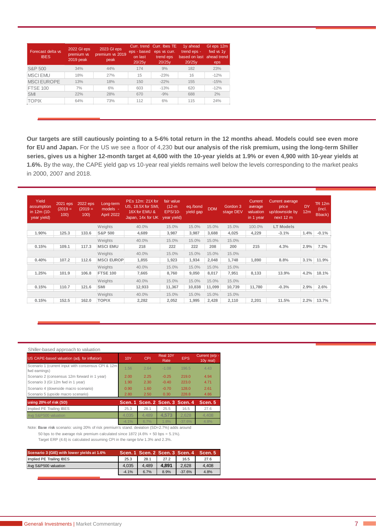| Forecast delta vs<br><b>IBES</b> | 2022 GI eps<br>premium vs<br>2019 peak | 2023 GI eps<br>premium vs 2019<br>peak | eps - based<br>on last<br>20/25y | Curr, trend Curr, Ibes TE<br>eps vs curr.<br>trend eps<br>20/25y | 1y ahead<br>trend eps -<br>based on last<br>20/25y | GI eps 12m<br>fwd vs 1y<br>ahead trend<br>eps |
|----------------------------------|----------------------------------------|----------------------------------------|----------------------------------|------------------------------------------------------------------|----------------------------------------------------|-----------------------------------------------|
| S&P 500                          | 34%                                    | 44%                                    | 174                              | 9%                                                               | 182                                                | 23%                                           |
| <b>MSCIEMU</b>                   | 18%                                    | 27%                                    | 15                               | $-23%$                                                           | 16                                                 | $-12%$                                        |
| <b>MSCI EUROPE</b>               | 13%                                    | 18%                                    | 150                              | $-22%$                                                           | 155                                                | $-15%$                                        |
| <b>FTSE 100</b>                  | 7%                                     | 6%                                     | 603                              | $-13%$                                                           | 620                                                | $-12%$                                        |
| <b>SMI</b>                       | 22%                                    | 28%                                    | 670                              | $-9%$                                                            | 688                                                | 2%                                            |
| <b>TOPIX</b>                     | 64%                                    | 73%                                    | 112                              | 6%                                                               | 115                                                | 24%                                           |
|                                  |                                        |                                        |                                  |                                                                  |                                                    |                                               |

**Our targets are still cautiously pointing to a 5-6% total return in the 12 months ahead. Models could see even more for EU and Japan.** For the US we see a floor of 4,230 **but our analysis of the risk premium, using the long-term Shiller series, gives us a higher 12-month target at 4,600 with the 10-year yields at 1.9% or even 4,900 with 10-year yields at 1.6%.** By the way, the CAPE yield gap vs 10-year real yields remains well below the levels corresponding to the market peaks in 2000, 2007 and 2018.

| Yield<br>assumption<br>in 12m (10-<br>year yield) | $2021$ eps<br>$(2019 =$<br>100) | 2022 eps<br>$(2019 =$<br>100) | Long-term<br>models -<br><b>April 2022</b> | PEs 12m: 21X for<br>US, 18.5X for SMI,<br>16X for EMU &<br>Japan, 14x for UK | fair value<br>$(12-m)$<br><b>EPS/10-</b><br>year yield) | eq./bond<br>yield gap | <b>DDM</b> | Gordon 3<br>stage DEV | <b>Current</b><br>average<br>valuation<br>in 1 year | <b>Current</b> average<br>price<br>up/downside by<br>next $12 \text{ m}$ | DY<br>12m | TR 12m<br>(incl.<br>Bback) |
|---------------------------------------------------|---------------------------------|-------------------------------|--------------------------------------------|------------------------------------------------------------------------------|---------------------------------------------------------|-----------------------|------------|-----------------------|-----------------------------------------------------|--------------------------------------------------------------------------|-----------|----------------------------|
|                                                   |                                 |                               | Weights                                    | 40.0%                                                                        | 15.0%                                                   | 15.0%                 | 15.0%      | 15.0%                 | 100.0%                                              | <b>LT Models</b>                                                         |           |                            |
| 1.90%                                             | 125.3                           | 133.6                         | <b>S&amp;P 500</b>                         | 4.689                                                                        | 3,987                                                   | 3,987                 | 3,688      | 4,025                 | 4,229                                               | $-3.1%$                                                                  | 1.4%      | $-0.1%$                    |
|                                                   |                                 |                               | Weights                                    | 40.0%                                                                        | 15.0%                                                   | 15.0%                 | 15.0%      | 15.0%                 |                                                     |                                                                          |           |                            |
| 0.15%                                             | 109.1                           | 117.3                         | <b>MSCI EMU</b>                            | 218                                                                          | 222                                                     | 222                   | 208        | 200                   | 215                                                 | 4.3%                                                                     | 2.9%      | 7.2%                       |
|                                                   |                                 |                               | Weights                                    | 40.0%                                                                        | 15.0%                                                   | 15.0%                 | 15.0%      | 15.0%                 |                                                     |                                                                          |           |                            |
| 0.40%                                             | 107.2                           | 112.6                         | <b>MSCI EUROP</b>                          | 1,855                                                                        | 1,923                                                   | 1,934                 | 2,048      | 1,748                 | 1.890                                               | 8.8%                                                                     | 3.1%      | 11.9%                      |
|                                                   |                                 |                               | Weights                                    | 40.0%                                                                        | 15.0%                                                   | 15.0%                 | 15.0%      | 15.0%                 |                                                     |                                                                          |           |                            |
| 1.25%                                             | 101.9                           | 106.8                         | <b>FTSE 100</b>                            | 7,665                                                                        | 8,760                                                   | 9,050                 | 8,017      | 7,951                 | 8,133                                               | 13.9%                                                                    | 4.2%      | 18.1%                      |
|                                                   |                                 |                               | Weights                                    | 40.0%                                                                        | 15.0%                                                   | 15.0%                 | 15.0%      | 15.0%                 |                                                     |                                                                          |           |                            |
| 0.15%                                             | 110.7                           | 121.6                         | SMI                                        | 12,933                                                                       | 11,367                                                  | 10,838                | 11,099     | 10,739                | 11.780                                              | $-0.3%$                                                                  | 2.9%      | 2.6%                       |
|                                                   |                                 |                               | Weights                                    | 40.0%                                                                        | 15.0%                                                   | 15.0%                 | 15.0%      | 15.0%                 |                                                     |                                                                          |           |                            |
| 0.15%                                             | 152.5                           | 162.0                         | <b>TOPIX</b>                               | 2,282                                                                        | 2.052                                                   | 1.995                 | 2.428      | 2.110                 | 2,201                                               | 11.5%                                                                    | 2.2%      | 13.7%                      |

#### Shiller-based approach to valuation

| US CAPE-based valuation (adj. for inflation)                        | 10Y     | CPI   | Real 10Y<br>Rate        | <b>EPS</b> | Current (e/p -<br>10y real) |
|---------------------------------------------------------------------|---------|-------|-------------------------|------------|-----------------------------|
| Scenario 1 (current input with consensus CPI & 12m<br>fwd earnings) | 1.56    | 2.64  | $-1.08$                 | 196.5      | 4.43                        |
| Scenario 2 (consensus 12m forward in 1 year)                        | 2.00    | 2.25  | $-0.25$                 | 219.0      | 4.94                        |
| Scenario 3 (GI 12m fwd in 1 year)                                   | 1.90    | 2.30  | $-0.40$                 | 223.0      | 4.71                        |
| Scenario 4 (downside macro scenario)                                | 0.90    | 1.60  | $-0.70$                 | 128.0      | 2.61                        |
| Scenario 5 (upside macro scenario)                                  | 2.80    | 2.50  | 0.30                    | 228.8      | 4.86                        |
| using 20% of risk (SD)                                              | Scen. 1 |       | Scen. 2 Scen. 3 Scen. 4 |            | Scen. 5                     |
| Implied PE Trailing IBES                                            | 25.3    | 28.1  | 25.5                    | 16.5       | 27.6                        |
| Avg S&P500 valuation                                                | 4.035   | 4.489 | 4.573                   | 2.628      | 4.408                       |
|                                                                     | $-4.1%$ | 6.7%  | 1.8%                    | $-37.6%$   | 4.8%                        |

Note: **Base risk** scenario: using 20% of risk premium's stand. deviation (SD=2.7%) adds around 50 bps to the average risk premium calculated since 1872 (4.6% + 50 bps = 5.1%).

Target ERP (4.6) is calculated assuming CPI in the range b/w 1.3% and 2.3%.

| Scenario 3 (GIE) with lower yields at 1.6% |         |       |       | Scen. 1 Scen. 2 Scen. 3 Scen. 4 | Scen. 5 |
|--------------------------------------------|---------|-------|-------|---------------------------------|---------|
| Implied PE Trailing IBES                   | 25.3    | 28.1  | 27.2  | 16.5                            | 27.6    |
| Avg S&P500 valuation                       | 4.035   | 4.489 | 4.891 | 2.628                           | 4.408   |
|                                            | $-4.1%$ | 6.7%  | 8.9%  | $-37.6%$                        | 4.8%    |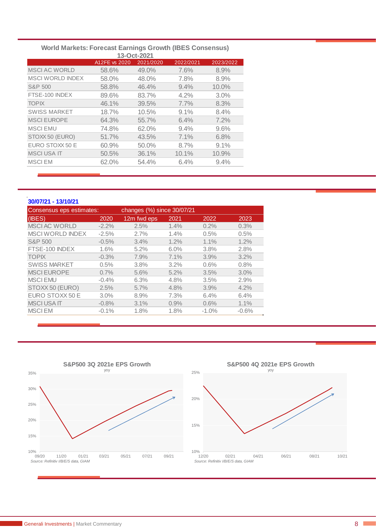| 13-Oct-2021             |               |           |           |           |  |  |  |  |  |
|-------------------------|---------------|-----------|-----------|-----------|--|--|--|--|--|
|                         | A12FE vs 2020 | 2021/2020 | 2022/2021 | 2023/2022 |  |  |  |  |  |
| <b>MSCI AC WORLD</b>    | 58.6%         | 49.0%     | 7.6%      | 8.9%      |  |  |  |  |  |
| <b>MSCI WORLD INDEX</b> | 58.0%         | 48.0%     | 7.8%      | 8.9%      |  |  |  |  |  |
| S&P 500                 | 58.8%         | 46.4%     | $9.4\%$   | $10.0\%$  |  |  |  |  |  |
| FTSE-100 INDEX          | 89.6%         | 83.7%     | $4.2\%$   | 3.0%      |  |  |  |  |  |
| <b>TOPIX</b>            | 46.1%         | 39.5%     | $7.7\%$   | 8.3%      |  |  |  |  |  |
| <b>SWISS MARKET</b>     | 18.7%         | 10.5%     | 9.1%      | 8.4%      |  |  |  |  |  |
| <b>MSCI EUROPE</b>      | 64.3%         | 55.7%     | 6.4%      | 7.2%      |  |  |  |  |  |
| <b>MSCI EMU</b>         | 74.8%         | 62.0%     | 9.4%      | 9.6%      |  |  |  |  |  |
| STOXX 50 (EURO)         | 51.7%         | 43.5%     | 7.1%      | 6.8%      |  |  |  |  |  |
| EURO STOXX 50 E         | 60.9%         | 50.0%     | 8.7%      | 9.1%      |  |  |  |  |  |
| <b>MSCI USA IT</b>      | 50.5%         | 36.1%     | $10.1\%$  | 10.9%     |  |  |  |  |  |
| <b>MSCIEM</b>           | 62.0%         | 54.4%     | 6.4%      | $9.4\%$   |  |  |  |  |  |
|                         |               |           |           |           |  |  |  |  |  |

# **World Markets: Forecast Earnings Growth (IBES Consensus)**

| 30/07/21 - 13/10/21      |         |                            |      |         |         |
|--------------------------|---------|----------------------------|------|---------|---------|
| Consensus eps estimates: |         | changes (%) since 30/07/21 |      |         |         |
| (IBES)                   | 2020    | 12m fwd eps                | 2021 | 2022    | 2023    |
| <b>MSCI AC WORLD</b>     | $-2.2%$ | 2.5%                       | 1.4% | 0.2%    | 0.3%    |
| <b>MSCI WORLD INDEX</b>  | $-2.5%$ | 2.7%                       | 1.4% | 0.5%    | 0.5%    |
| S&P 500                  | $-0.5%$ | 3.4%                       | 1.2% | 1.1%    | 1.2%    |
| FTSE-100 INDEX           | 1.6%    | $5.2\%$                    | 6.0% | 3.8%    | 2.8%    |
| <b>TOPIX</b>             | $-0.3%$ | 7.9%                       | 7.1% | 3.9%    | 3.2%    |
| <b>SWISS MARKET</b>      | 0.5%    | 3.8%                       | 3.2% | 0.6%    | 0.8%    |
| <b>MSCI EUROPE</b>       | 0.7%    | 5.6%                       | 5.2% | 3.5%    | 3.0%    |
| <b>MSCIEMU</b>           | $-0.4%$ | 6.3%                       | 4.8% | 3.5%    | 2.9%    |
| STOXX 50 (EURO)          | 2.5%    | 5.7%                       | 4.8% | 3.9%    | 4.2%    |
| EURO STOXX 50 E          | 3.0%    | 8.9%                       | 7.3% | 6.4%    | 6.4%    |
| <b>MSCIUSAIT</b>         | $-0.8%$ | 3.1%                       | 0.9% | 0.6%    | 1.1%    |
| <b>MSCIEM</b>            | $-0.1%$ | 1.8%                       | 1.8% | $-1.0%$ | $-0.6%$ |
|                          |         |                            |      |         |         |